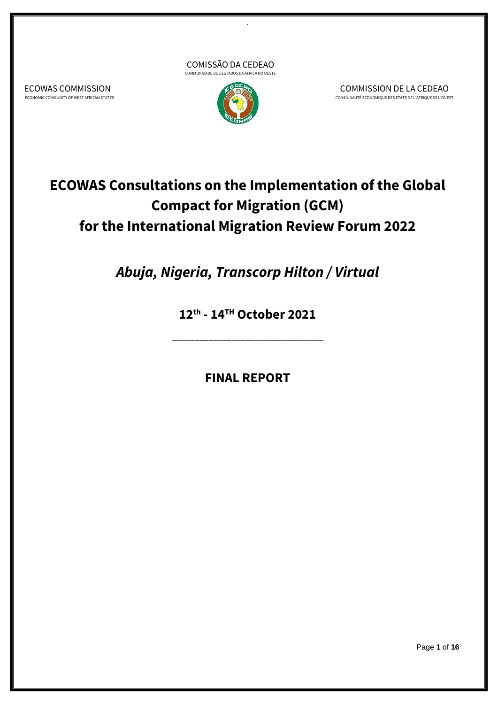



`

COMMISSION DE LA CEDEAO COMMUNAUTÉ ECONOMIQUE DES ETATS DE L'AFRIQUE DE L'OUEST

**ECOWAS Consultations on the Implementation of the Global Compact for Migration (GCM) for the International Migration Review Forum 2022**

*Abuja, Nigeria, Transcorp Hilton / Virtual*

**12th - 14 TH October 2021**

\_\_\_\_\_\_\_\_\_\_\_\_\_\_\_\_\_\_\_\_\_\_\_\_\_\_\_\_\_\_\_\_\_

**FINAL REPORT** 

ECOWAS COMMISSION ECONOMIC COMMUNITY OF WEST AFRICAN STATES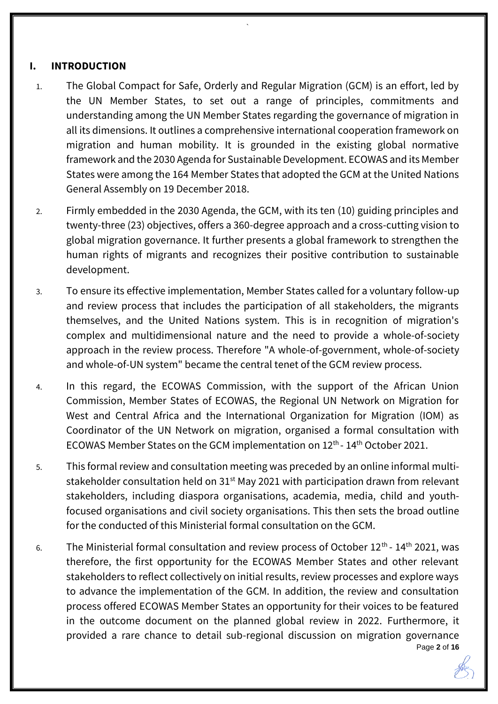# **I. INTRODUCTION**

1. The Global Compact for Safe, Orderly and Regular Migration (GCM) is an effort, led by the UN Member States, to set out a range of principles, commitments and understanding among the UN Member States regarding the governance of migration in all its dimensions. It outlines a comprehensive international cooperation framework on migration and human mobility. It is grounded in the existing global normative framework and the 2030 Agenda for Sustainable Development. ECOWAS and its Member States were among the 164 Member States that adopted the GCM at the United Nations General Assembly on 19 December 2018.

`

- 2. Firmly embedded in the 2030 Agenda, the GCM, with its ten (10) guiding principles and twenty-three (23) objectives, offers a 360-degree approach and a cross-cutting vision to global migration governance. It further presents a global framework to strengthen the human rights of migrants and recognizes their positive contribution to sustainable development.
- 3. To ensure its effective implementation, Member States called for a voluntary follow-up and review process that includes the participation of all stakeholders, the migrants themselves, and the United Nations system. This is in recognition of migration's complex and multidimensional nature and the need to provide a whole-of-society approach in the review process. Therefore "A whole-of-government, whole-of-society and whole-of-UN system" became the central tenet of the GCM review process.
- 4. In this regard, the ECOWAS Commission, with the support of the African Union Commission, Member States of ECOWAS, the Regional UN Network on Migration for West and Central Africa and the International Organization for Migration (IOM) as Coordinator of the UN Network on migration, organised a formal consultation with ECOWAS Member States on the GCM implementation on 12<sup>th</sup> - 14<sup>th</sup> October 2021.
- 5. This formal review and consultation meeting was preceded by an online informal multistakeholder consultation held on  $31<sup>st</sup>$  May 2021 with participation drawn from relevant stakeholders, including diaspora organisations, academia, media, child and youthfocused organisations and civil society organisations. This then sets the broad outline for the conducted of this Ministerial formal consultation on the GCM.
- Page **2** of **16** 6. The Ministerial formal consultation and review process of October  $12<sup>th</sup>$  -  $14<sup>th</sup>$  2021, was therefore, the first opportunity for the ECOWAS Member States and other relevant stakeholders to reflect collectively on initial results, review processes and explore ways to advance the implementation of the GCM. In addition, the review and consultation process offered ECOWAS Member States an opportunity for their voices to be featured in the outcome document on the planned global review in 2022. Furthermore, it provided a rare chance to detail sub-regional discussion on migration governance

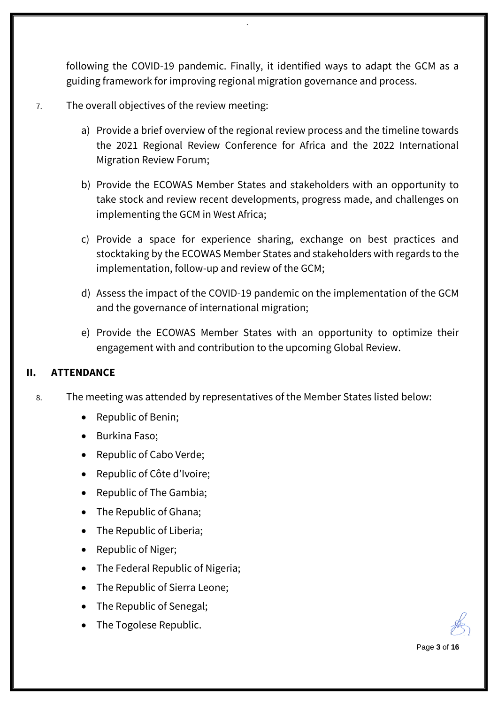following the COVID-19 pandemic. Finally, it identified ways to adapt the GCM as a guiding framework for improving regional migration governance and process.

`

## 7. The overall objectives of the review meeting:

- a) Provide a brief overview of the regional review process and the timeline towards the 2021 Regional Review Conference for Africa and the 2022 International Migration Review Forum;
- b) Provide the ECOWAS Member States and stakeholders with an opportunity to take stock and review recent developments, progress made, and challenges on implementing the GCM in West Africa;
- c) Provide a space for experience sharing, exchange on best practices and stocktaking by the ECOWAS Member States and stakeholders with regards to the implementation, follow-up and review of the GCM;
- d) Assess the impact of the COVID-19 pandemic on the implementation of the GCM and the governance of international migration;
- e) Provide the ECOWAS Member States with an opportunity to optimize their engagement with and contribution to the upcoming Global Review.

#### **II. ATTENDANCE**

- 8. The meeting was attended by representatives of the Member States listed below:
	- Republic of Benin;
	- Burkina Faso;
	- Republic of Cabo Verde;
	- Republic of Côte d'Ivoire;
	- Republic of The Gambia;
	- The Republic of Ghana;
	- The Republic of Liberia;
	- Republic of Niger;
	- The Federal Republic of Nigeria;
	- The Republic of Sierra Leone;
	- The Republic of Senegal;
	- The Togolese Republic.

Page **3** of **16**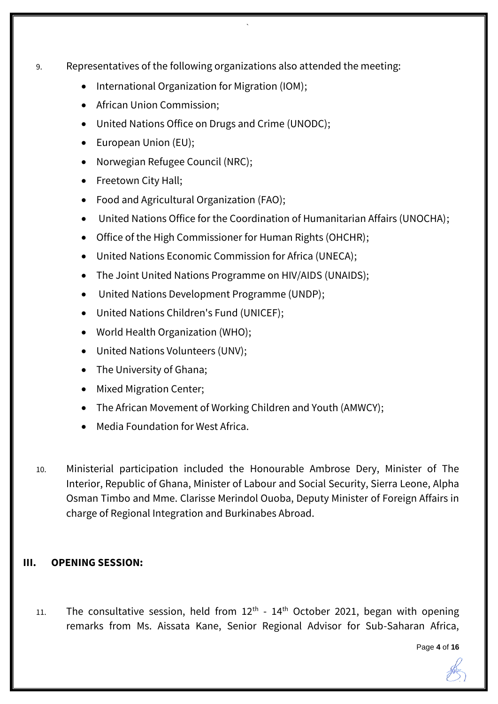9. Representatives of the following organizations also attended the meeting:

`

- International Organization for Migration (IOM);
- African Union Commission;
- United Nations Office on Drugs and Crime (UNODC);
- European Union (EU);
- Norwegian Refugee Council (NRC);
- Freetown City Hall;
- Food and Agricultural Organization (FAO);
- United Nations Office for the Coordination of Humanitarian Affairs (UNOCHA);
- Office of the High Commissioner for Human Rights (OHCHR);
- United Nations Economic Commission for Africa (UNECA);
- The Joint United Nations Programme on HIV/AIDS (UNAIDS);
- United Nations Development Programme (UNDP);
- United Nations Children's Fund (UNICEF);
- World Health Organization (WHO);
- United Nations Volunteers (UNV);
- The University of Ghana;
- Mixed Migration Center;
- The African Movement of Working Children and Youth (AMWCY);
- Media Foundation for West Africa.
- 10. Ministerial participation included the Honourable Ambrose Dery, Minister of The Interior, Republic of Ghana, Minister of Labour and Social Security, Sierra Leone, Alpha Osman Timbo and Mme. Clarisse Merindol Ouoba, Deputy Minister of Foreign Affairs in charge of Regional Integration and Burkinabes Abroad.

#### **III. OPENING SESSION:**

11. The consultative session, held from  $12<sup>th</sup>$  -  $14<sup>th</sup>$  October 2021, began with opening remarks from Ms. Aissata Kane, Senior Regional Advisor for Sub-Saharan Africa,

Page **4** of **16**

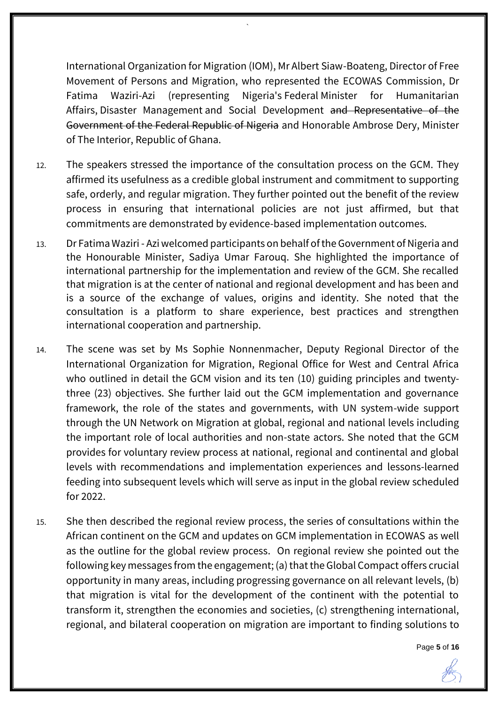International Organization for Migration (IOM), Mr Albert Siaw-Boateng, Director of Free Movement of Persons and Migration, who represented the ECOWAS Commission, Dr Fatima Waziri-Azi (representing Nigeria's Federal Minister for Humanitarian Affairs, Disaster Management and Social Development and Representative of the Government of the Federal Republic of Nigeria and Honorable Ambrose Dery, Minister of The Interior, Republic of Ghana.

`

- 12. The speakers stressed the importance of the consultation process on the GCM. They affirmed its usefulness as a credible global instrument and commitment to supporting safe, orderly, and regular migration. They further pointed out the benefit of the review process in ensuring that international policies are not just affirmed, but that commitments are demonstrated by evidence-based implementation outcomes.
- 13. Dr Fatima Waziri Azi welcomed participants on behalf of the Government of Nigeria and the Honourable Minister, Sadiya Umar Farouq. She highlighted the importance of international partnership for the implementation and review of the GCM. She recalled that migration is at the center of national and regional development and has been and is a source of the exchange of values, origins and identity. She noted that the consultation is a platform to share experience, best practices and strengthen international cooperation and partnership.
- 14. The scene was set by Ms Sophie Nonnenmacher, Deputy Regional Director of the International Organization for Migration, Regional Office for West and Central Africa who outlined in detail the GCM vision and its ten (10) guiding principles and twentythree (23) objectives. She further laid out the GCM implementation and governance framework, the role of the states and governments, with UN system-wide support through the UN Network on Migration at global, regional and national levels including the important role of local authorities and non-state actors. She noted that the GCM provides for voluntary review process at national, regional and continental and global levels with recommendations and implementation experiences and lessons-learned feeding into subsequent levels which will serve as input in the global review scheduled for 2022.
- 15. She then described the regional review process, the series of consultations within the African continent on the GCM and updates on GCM implementation in ECOWAS as well as the outline for the global review process. On regional review she pointed out the following key messages from the engagement; (a) that the Global Compact offers crucial opportunity in many areas, including progressing governance on all relevant levels, (b) that migration is vital for the development of the continent with the potential to transform it, strengthen the economies and societies, (c) strengthening international, regional, and bilateral cooperation on migration are important to finding solutions to

Page **5** of **16**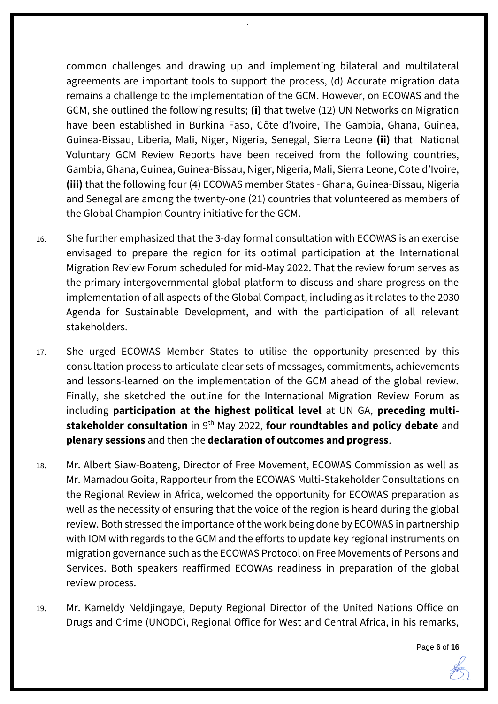common challenges and drawing up and implementing bilateral and multilateral agreements are important tools to support the process, (d) Accurate migration data remains a challenge to the implementation of the GCM. However, on ECOWAS and the GCM, she outlined the following results; **(i)** that twelve (12) UN Networks on Migration have been established in Burkina Faso, Côte d'Ivoire, The Gambia, Ghana, Guinea, Guinea-Bissau, Liberia, Mali, Niger, Nigeria, Senegal, Sierra Leone **(ii)** that National Voluntary GCM Review Reports have been received from the following countries, Gambia, Ghana, Guinea, Guinea-Bissau, Niger, Nigeria, Mali, Sierra Leone, Cote d'Ivoire, **(iii)** that the following four (4) ECOWAS member States - Ghana, Guinea-Bissau, Nigeria and Senegal are among the twenty-one (21) countries that volunteered as members of the Global Champion Country initiative for the GCM.

`

16. She further emphasized that the 3-day formal consultation with ECOWAS is an exercise envisaged to prepare the region for its optimal participation at the International Migration Review Forum scheduled for mid-May 2022. That the review forum serves as the primary intergovernmental global platform to discuss and share progress on the implementation of all aspects of the Global Compact, including as it relates to the 2030 Agenda for Sustainable Development, and with the participation of all relevant stakeholders.

17. She urged ECOWAS Member States to utilise the opportunity presented by this consultation process to articulate clear sets of messages, commitments, achievements and lessons-learned on the implementation of the GCM ahead of the global review. Finally, she sketched the outline for the International Migration Review Forum as including **participation at the highest political level** at UN GA, **preceding multistakeholder consultation** in 9th May 2022, **four roundtables and policy debate** and **plenary sessions** and then the **declaration of outcomes and progress**.

- 18. Mr. Albert Siaw-Boateng, Director of Free Movement, ECOWAS Commission as well as Mr. Mamadou Goita, Rapporteur from the ECOWAS Multi-Stakeholder Consultations on the Regional Review in Africa, welcomed the opportunity for ECOWAS preparation as well as the necessity of ensuring that the voice of the region is heard during the global review. Both stressed the importance of the work being done by ECOWAS in partnership with IOM with regards to the GCM and the efforts to update key regional instruments on migration governance such as the ECOWAS Protocol on Free Movements of Persons and Services. Both speakers reaffirmed ECOWAs readiness in preparation of the global review process.
- 19. Mr. Kameldy Neldjingaye, Deputy Regional Director of the United Nations Office on Drugs and Crime (UNODC), Regional Office for West and Central Africa, in his remarks,

Page **6** of **16**

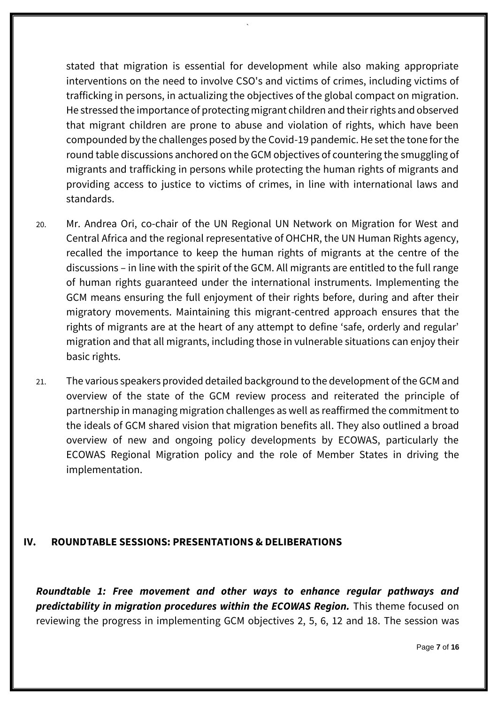stated that migration is essential for development while also making appropriate interventions on the need to involve CSO's and victims of crimes, including victims of trafficking in persons, in actualizing the objectives of the global compact on migration. He stressed the importance of protecting migrant children and their rights and observed that migrant children are prone to abuse and violation of rights, which have been compounded by the challenges posed by the Covid-19 pandemic. He set the tone for the round table discussions anchored on the GCM objectives of countering the smuggling of migrants and trafficking in persons while protecting the human rights of migrants and providing access to justice to victims of crimes, in line with international laws and standards.

`

- 20. Mr. Andrea Ori, co-chair of the UN Regional UN Network on Migration for West and Central Africa and the regional representative of OHCHR, the UN Human Rights agency, recalled the importance to keep the human rights of migrants at the centre of the discussions – in line with the spirit of the GCM. All migrants are entitled to the full range of human rights guaranteed under the international instruments. Implementing the GCM means ensuring the full enjoyment of their rights before, during and after their migratory movements. Maintaining this migrant-centred approach ensures that the rights of migrants are at the heart of any attempt to define 'safe, orderly and regular' migration and that all migrants, including those in vulnerable situations can enjoy their basic rights.
- 21. The various speakers provided detailed background to the development of the GCM and overview of the state of the GCM review process and reiterated the principle of partnership in managing migration challenges as well as reaffirmed the commitment to the ideals of GCM shared vision that migration benefits all. They also outlined a broad overview of new and ongoing policy developments by ECOWAS, particularly the ECOWAS Regional Migration policy and the role of Member States in driving the implementation.

#### **IV. ROUNDTABLE SESSIONS: PRESENTATIONS & DELIBERATIONS**

*Roundtable 1: Free movement and other ways to enhance regular pathways and*  **predictability in migration procedures within the ECOWAS Region.** This theme focused on reviewing the progress in implementing GCM objectives 2, 5, 6, 12 and 18. The session was

Page **7** of **16**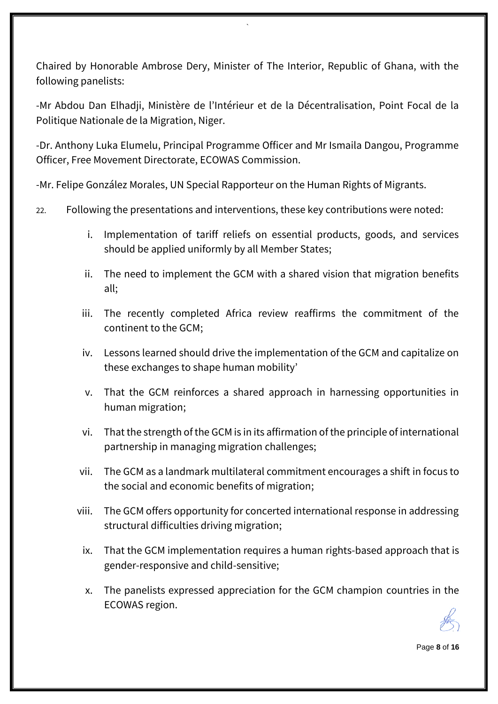Chaired by Honorable Ambrose Dery, Minister of The Interior, Republic of Ghana, with the following panelists:

`

-Mr Abdou Dan Elhadji, Ministère de l'Intérieur et de la Décentralisation, Point Focal de la Politique Nationale de la Migration, Niger.

-Dr. Anthony Luka Elumelu, Principal Programme Officer and Mr Ismaila Dangou, Programme Officer, Free Movement Directorate, ECOWAS Commission.

-Mr. Felipe González Morales, UN Special Rapporteur on the Human Rights of Migrants.

- 22. Following the presentations and interventions, these key contributions were noted:
	- i. Implementation of tariff reliefs on essential products, goods, and services should be applied uniformly by all Member States;
	- ii. The need to implement the GCM with a shared vision that migration benefits all;
	- iii. The recently completed Africa review reaffirms the commitment of the continent to the GCM;
	- iv. Lessons learned should drive the implementation of the GCM and capitalize on these exchanges to shape human mobility'
	- v. That the GCM reinforces a shared approach in harnessing opportunities in human migration;
	- vi. That the strength of the GCM is in its affirmation of the principle of international partnership in managing migration challenges;
	- vii. The GCM as a landmark multilateral commitment encourages a shift in focus to the social and economic benefits of migration;
	- viii. The GCM offers opportunity for concerted international response in addressing structural difficulties driving migration;
	- ix. That the GCM implementation requires a human rights-based approach that is gender-responsive and child-sensitive;
	- x. The panelists expressed appreciation for the GCM champion countries in the ECOWAS region.

Page **8** of **16**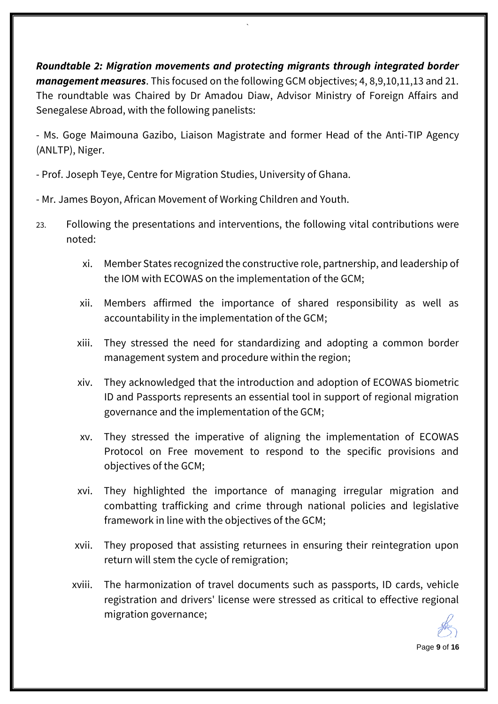*Roundtable 2: Migration movements and protecting migrants through integrated border management measures*. This focused on the following GCM objectives; 4, 8,9,10,11,13 and 21. The roundtable was Chaired by Dr Amadou Diaw, Advisor Ministry of Foreign Affairs and Senegalese Abroad, with the following panelists:

`

- Ms. Goge Maimouna Gazibo, Liaison Magistrate and former Head of the Anti-TIP Agency (ANLTP), Niger.

- Prof. Joseph Teye, Centre for Migration Studies, University of Ghana.

- Mr. James Boyon, African Movement of Working Children and Youth.

- 23. Following the presentations and interventions, the following vital contributions were noted:
	- xi. Member States recognized the constructive role, partnership, and leadership of the IOM with ECOWAS on the implementation of the GCM;
	- xii. Members affirmed the importance of shared responsibility as well as accountability in the implementation of the GCM;
	- xiii. They stressed the need for standardizing and adopting a common border management system and procedure within the region;
	- xiv. They acknowledged that the introduction and adoption of ECOWAS biometric ID and Passports represents an essential tool in support of regional migration governance and the implementation of the GCM;
	- xv. They stressed the imperative of aligning the implementation of ECOWAS Protocol on Free movement to respond to the specific provisions and objectives of the GCM;
	- xvi. They highlighted the importance of managing irregular migration and combatting trafficking and crime through national policies and legislative framework in line with the objectives of the GCM;
	- xvii. They proposed that assisting returnees in ensuring their reintegration upon return will stem the cycle of remigration;
	- xviii. The harmonization of travel documents such as passports, ID cards, vehicle registration and drivers' license were stressed as critical to effective regional migration governance;

Page **9** of **16**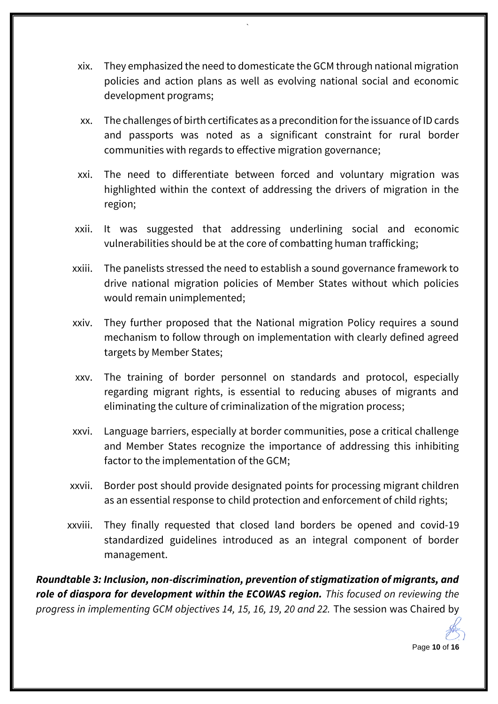xix. They emphasized the need to domesticate the GCM through national migration policies and action plans as well as evolving national social and economic development programs;

`

- xx. The challenges of birth certificates as a precondition for the issuance of ID cards and passports was noted as a significant constraint for rural border communities with regards to effective migration governance;
- xxi. The need to differentiate between forced and voluntary migration was highlighted within the context of addressing the drivers of migration in the region;
- xxii. It was suggested that addressing underlining social and economic vulnerabilities should be at the core of combatting human trafficking;
- xxiii. The panelists stressed the need to establish a sound governance framework to drive national migration policies of Member States without which policies would remain unimplemented;
- xxiv. They further proposed that the National migration Policy requires a sound mechanism to follow through on implementation with clearly defined agreed targets by Member States;
- xxv. The training of border personnel on standards and protocol, especially regarding migrant rights, is essential to reducing abuses of migrants and eliminating the culture of criminalization of the migration process;
- xxvi. Language barriers, especially at border communities, pose a critical challenge and Member States recognize the importance of addressing this inhibiting factor to the implementation of the GCM;
- xxvii. Border post should provide designated points for processing migrant children as an essential response to child protection and enforcement of child rights;
- xxviii. They finally requested that closed land borders be opened and covid-19 standardized guidelines introduced as an integral component of border management.

*Roundtable 3: Inclusion, non-discrimination, prevention of stigmatization of migrants, and role of diaspora for development within the ECOWAS region. This focused on reviewing the progress in implementing GCM objectives 14, 15, 16, 19, 20 and 22.* The session was Chaired by

Page **10** of **16**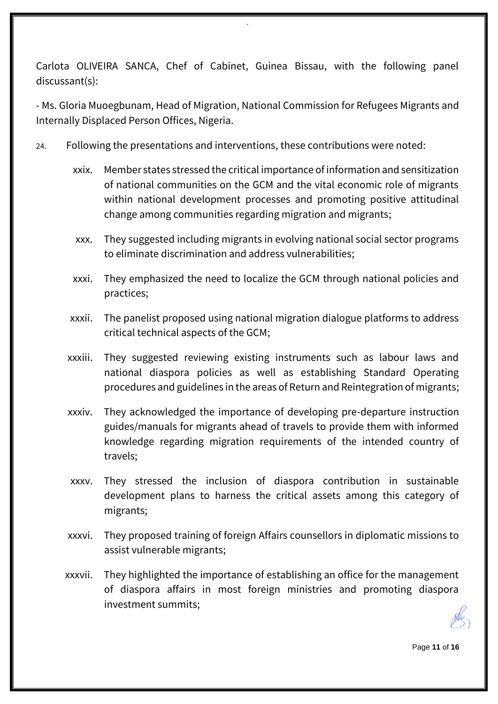Carlota OLIVEIRA SANCA, Chef of Cabinet, Guinea Bissau, with the following panel discussant(s):

`

- Ms. Gloria Muoegbunam, Head of Migration, National Commission for Refugees Migrants and Internally Displaced Person Offices, Nigeria.

- 24. Following the presentations and interventions, these contributions were noted:
	- xxix. Member states stressed the critical importance of information and sensitization of national communities on the GCM and the vital economic role of migrants within national development processes and promoting positive attitudinal change among communities regarding migration and migrants;
	- xxx. They suggested including migrants in evolving national social sector programs to eliminate discrimination and address vulnerabilities;
	- xxxi. They emphasized the need to localize the GCM through national policies and practices;
	- xxxii. The panelist proposed using national migration dialogue platforms to address critical technical aspects of the GCM;
	- xxxiii. They suggested reviewing existing instruments such as labour laws and national diaspora policies as well as establishing Standard Operating procedures and guidelines in the areas of Return and Reintegration of migrants;
	- xxxiv. They acknowledged the importance of developing pre-departure instruction guides/manuals for migrants ahead of travels to provide them with informed knowledge regarding migration requirements of the intended country of travels;
	- xxxv. They stressed the inclusion of diaspora contribution in sustainable development plans to harness the critical assets among this category of migrants;
	- xxxvi. They proposed training of foreign Affairs counsellors in diplomatic missions to assist vulnerable migrants;
	- xxxvii. They highlighted the importance of establishing an office for the management of diaspora affairs in most foreign ministries and promoting diaspora investment summits;

Page **11** of **16**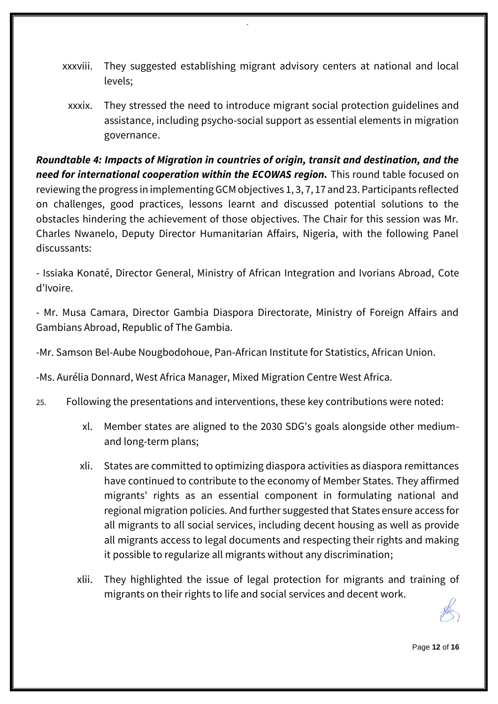xxxviii. They suggested establishing migrant advisory centers at national and local levels;

`

xxxix. They stressed the need to introduce migrant social protection guidelines and assistance, including psycho-social support as essential elements in migration governance.

*Roundtable 4: Impacts of Migration in countries of origin, transit and destination, and the need for international cooperation within the ECOWAS region.* This round table focused on reviewing the progress in implementing GCM objectives 1, 3, 7, 17 and 23. Participants reflected on challenges, good practices, lessons learnt and discussed potential solutions to the obstacles hindering the achievement of those objectives. The Chair for this session was Mr. Charles Nwanelo, Deputy Director Humanitarian Affairs, Nigeria, with the following Panel discussants:

- Issiaka Konaté, Director General, Ministry of African Integration and Ivorians Abroad, Cote d'Ivoire.

- Mr. Musa Camara, Director Gambia Diaspora Directorate, Ministry of Foreign Affairs and Gambians Abroad, Republic of The Gambia.

-Mr. Samson Bel-Aube Nougbodohoue, Pan-African Institute for Statistics, African Union.

-Ms. Aurélia Donnard, West Africa Manager, Mixed Migration Centre West Africa.

- 25. Following the presentations and interventions, these key contributions were noted:
	- xl. Member states are aligned to the 2030 SDG's goals alongside other mediumand long-term plans;
	- xli. States are committed to optimizing diaspora activities as diaspora remittances have continued to contribute to the economy of Member States. They affirmed migrants' rights as an essential component in formulating national and regional migration policies. And further suggested that States ensure access for all migrants to all social services, including decent housing as well as provide all migrants access to legal documents and respecting their rights and making it possible to regularize all migrants without any discrimination;
	- xlii. They highlighted the issue of legal protection for migrants and training of migrants on their rights to life and social services and decent work.

Page **12** of **16**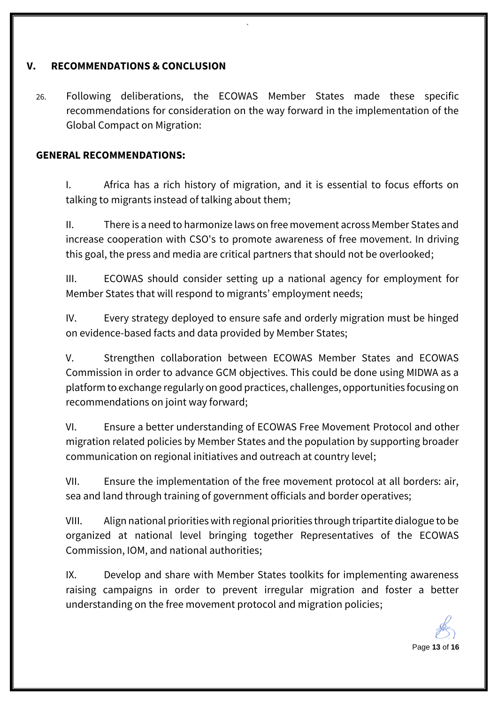## **V. RECOMMENDATIONS & CONCLUSION**

26. Following deliberations, the ECOWAS Member States made these specific recommendations for consideration on the way forward in the implementation of the Global Compact on Migration:

`

#### **GENERAL RECOMMENDATIONS:**

I. Africa has a rich history of migration, and it is essential to focus efforts on talking to migrants instead of talking about them;

II. There is a need to harmonize laws on free movement across Member States and increase cooperation with CSO's to promote awareness of free movement. In driving this goal, the press and media are critical partners that should not be overlooked;

III. ECOWAS should consider setting up a national agency for employment for Member States that will respond to migrants' employment needs;

IV. Every strategy deployed to ensure safe and orderly migration must be hinged on evidence-based facts and data provided by Member States;

V. Strengthen collaboration between ECOWAS Member States and ECOWAS Commission in order to advance GCM objectives. This could be done using MIDWA as a platform to exchange regularly on good practices, challenges, opportunities focusing on recommendations on joint way forward;

VI. Ensure a better understanding of ECOWAS Free Movement Protocol and other migration related policies by Member States and the population by supporting broader communication on regional initiatives and outreach at country level;

VII. Ensure the implementation of the free movement protocol at all borders: air, sea and land through training of government officials and border operatives;

VIII. Align national priorities with regional priorities through tripartite dialogue to be organized at national level bringing together Representatives of the ECOWAS Commission, IOM, and national authorities;

IX. Develop and share with Member States toolkits for implementing awareness raising campaigns in order to prevent irregular migration and foster a better understanding on the free movement protocol and migration policies;

Page **13** of **16**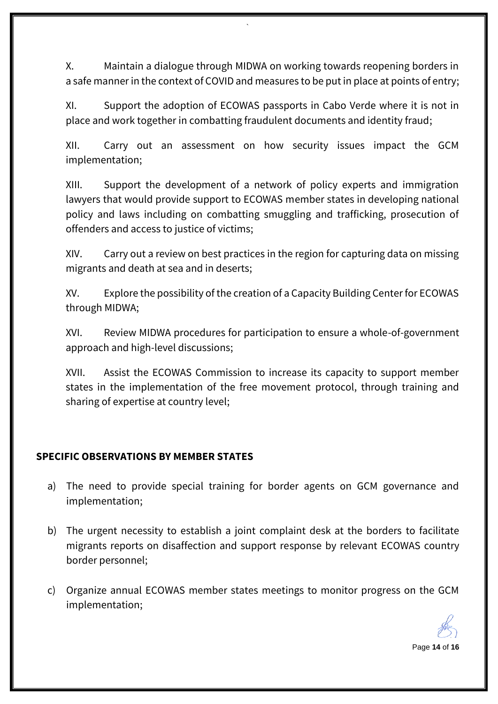X. Maintain a dialogue through MIDWA on working towards reopening borders in a safe manner in the context of COVID and measures to be put in place at points of entry;

`

XI. Support the adoption of ECOWAS passports in Cabo Verde where it is not in place and work together in combatting fraudulent documents and identity fraud;

XII. Carry out an assessment on how security issues impact the GCM implementation;

XIII. Support the development of a network of policy experts and immigration lawyers that would provide support to ECOWAS member states in developing national policy and laws including on combatting smuggling and trafficking, prosecution of offenders and access to justice of victims;

XIV. Carry out a review on best practices in the region for capturing data on missing migrants and death at sea and in deserts;

XV. Explore the possibility of the creation of a Capacity Building Center for ECOWAS through MIDWA;

XVI. Review MIDWA procedures for participation to ensure a whole-of-government approach and high-level discussions;

XVII. Assist the ECOWAS Commission to increase its capacity to support member states in the implementation of the free movement protocol, through training and sharing of expertise at country level;

# **SPECIFIC OBSERVATIONS BY MEMBER STATES**

- a) The need to provide special training for border agents on GCM governance and implementation;
- b) The urgent necessity to establish a joint complaint desk at the borders to facilitate migrants reports on disaffection and support response by relevant ECOWAS country border personnel;
- c) Organize annual ECOWAS member states meetings to monitor progress on the GCM implementation;

Page **14** of **16**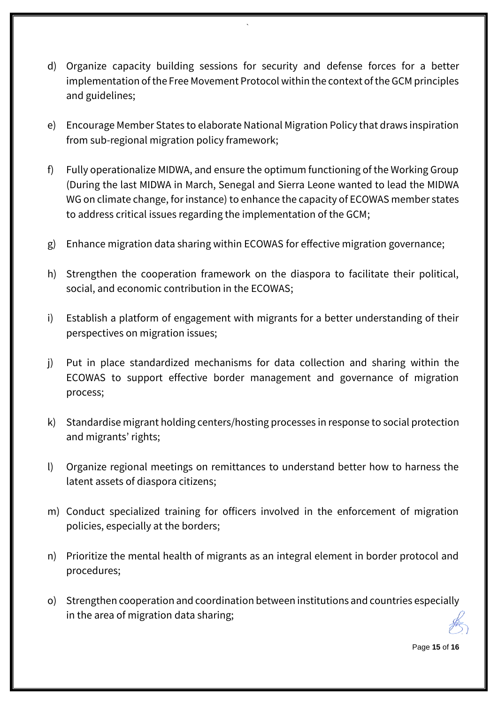d) Organize capacity building sessions for security and defense forces for a better implementation of the Free Movement Protocol within the context of the GCM principles and guidelines;

`

- e) Encourage Member States to elaborate National Migration Policy that draws inspiration from sub-regional migration policy framework;
- f) Fully operationalize MIDWA, and ensure the optimum functioning of the Working Group (During the last MIDWA in March, Senegal and Sierra Leone wanted to lead the MIDWA WG on climate change, for instance) to enhance the capacity of ECOWAS member states to address critical issues regarding the implementation of the GCM;
- g) Enhance migration data sharing within ECOWAS for effective migration governance;
- h) Strengthen the cooperation framework on the diaspora to facilitate their political, social, and economic contribution in the ECOWAS;
- i) Establish a platform of engagement with migrants for a better understanding of their perspectives on migration issues;
- j) Put in place standardized mechanisms for data collection and sharing within the ECOWAS to support effective border management and governance of migration process;
- k) Standardise migrant holding centers/hosting processes in response to social protection and migrants' rights;
- l) Organize regional meetings on remittances to understand better how to harness the latent assets of diaspora citizens;
- m) Conduct specialized training for officers involved in the enforcement of migration policies, especially at the borders;
- n) Prioritize the mental health of migrants as an integral element in border protocol and procedures;
- o) Strengthen cooperation and coordination between institutions and countries especially in the area of migration data sharing;

Page **15** of **16**